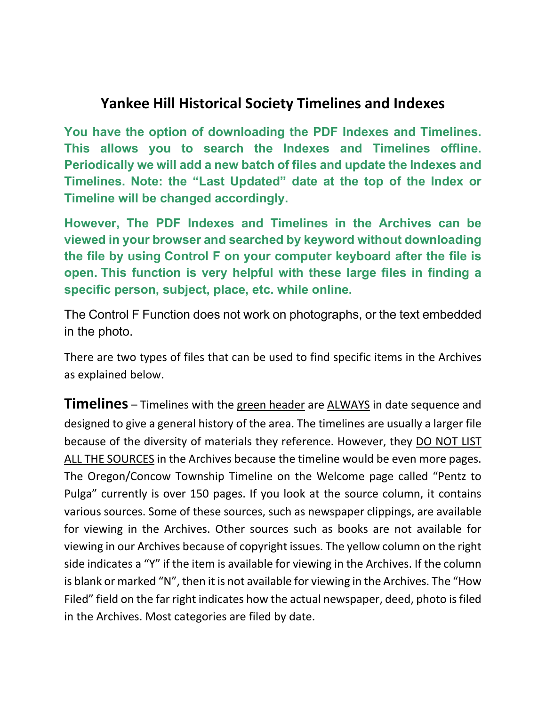## **Yankee Hill Historical Society Timelines and Indexes**

**You have the option of downloading the PDF Indexes and Timelines. This allows you to search the Indexes and Timelines offline. Periodically we will add a new batch of files and update the Indexes and Timelines. Note: the "Last Updated" date at the top of the Index or Timeline will be changed accordingly.**

**However, The PDF Indexes and Timelines in the Archives can be viewed in your browser and searched by keyword without downloading the file by using Control F on your computer keyboard after the file is open. This function is very helpful with these large files in finding a specific person, subject, place, etc. while online.**

The Control F Function does not work on photographs, or the text embedded in the photo.

There are two types of files that can be used to find specific items in the Archives as explained below.

**Timelines** – Timelines with the green header are ALWAYS in date sequence and designed to give a general history of the area. The timelines are usually a larger file because of the diversity of materials they reference. However, they DO NOT LIST ALL THE SOURCES in the Archives because the timeline would be even more pages. The Oregon/Concow Township Timeline on the Welcome page called "Pentz to Pulga" currently is over 150 pages. If you look at the source column, it contains various sources. Some of these sources, such as newspaper clippings, are available for viewing in the Archives. Other sources such as books are not available for viewing in our Archives because of copyright issues. The yellow column on the right side indicates a "Y" if the item is available for viewing in the Archives. If the column is blank or marked "N", then it is not available for viewing in the Archives. The "How Filed" field on the far right indicates how the actual newspaper, deed, photo is filed in the Archives. Most categories are filed by date.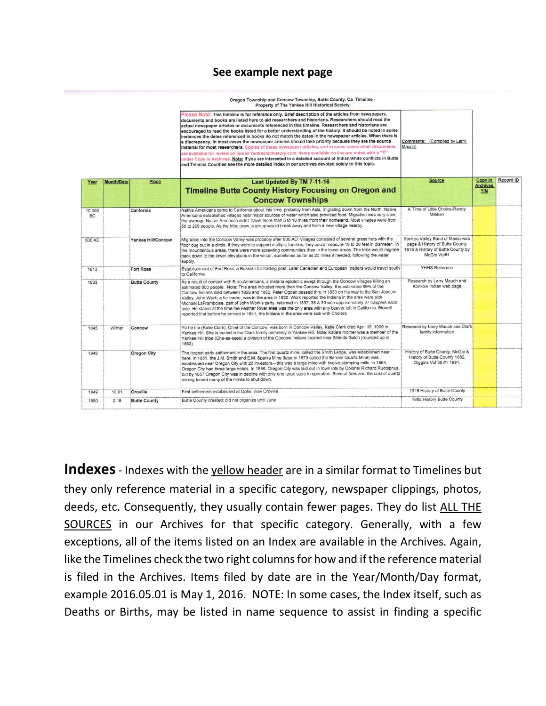## **See example next page**

Oregon Township and Concow Township, Butte County, Ca Timeline -

|                     |                   |                     | Property of The Yankee Hill Historical Society                                                                                                                                                                                                                                                                                                                                                                                                                                                                                                                                                                                                                                                                                                                                                                                                                                                                                                                                                                                                                                       |                                                                                                                       |                               |           |
|---------------------|-------------------|---------------------|--------------------------------------------------------------------------------------------------------------------------------------------------------------------------------------------------------------------------------------------------------------------------------------------------------------------------------------------------------------------------------------------------------------------------------------------------------------------------------------------------------------------------------------------------------------------------------------------------------------------------------------------------------------------------------------------------------------------------------------------------------------------------------------------------------------------------------------------------------------------------------------------------------------------------------------------------------------------------------------------------------------------------------------------------------------------------------------|-----------------------------------------------------------------------------------------------------------------------|-------------------------------|-----------|
|                     |                   |                     | Please Note: This timeline is for reference only. Brief description of the articles from newspapers,<br>documents and books are listed here to aid researchers and historians. Researchers should read the<br>actual newspaper articles or documents referenced in this timeline. Researchers and historians are<br>encouraged to read the books listed for a better understanding of the history. It should be noted in some<br>instances the dates referenced in books do not match the dates in the newspaper articles. When there is<br>a discrepancy, in most cases the newspaper articles should take priority because they are the source<br>material for most researchers. Copies of these newspaper articles, and in some cases other documents,<br>are available for review on line at Yankeehillhistory.com Items available on line are noted with a "Y"<br>under Copy in Archives. Note: if you are interested in a detailed account of Indian/white conflicts in Butte<br>and Tehama Counties see the more detailed index in our archives devoted solely to this topic. | Comments: (Compiled by Larry<br>Mauch)                                                                                |                               |           |
| Year                | <b>Month/Date</b> | Place               | Last Updated By TM 7-11-16                                                                                                                                                                                                                                                                                                                                                                                                                                                                                                                                                                                                                                                                                                                                                                                                                                                                                                                                                                                                                                                           | <b>Source</b>                                                                                                         | Copy In                       | Record ID |
|                     |                   |                     | <b>Timeline Butte County History Focusing on Oregon and</b>                                                                                                                                                                                                                                                                                                                                                                                                                                                                                                                                                                                                                                                                                                                                                                                                                                                                                                                                                                                                                          |                                                                                                                       | <b>Archives</b><br><b>Y/N</b> |           |
|                     |                   |                     | <b>Concow Townships</b>                                                                                                                                                                                                                                                                                                                                                                                                                                                                                                                                                                                                                                                                                                                                                                                                                                                                                                                                                                                                                                                              |                                                                                                                       |                               |           |
| 10,000<br><b>BC</b> |                   | California          | Native Americans came to California about this time, probably from Asia, migrating down from the North. Native<br>Americans established villages near major sources of water which also provided food. Migration was very slow;<br>the average Native American didn't travel more than 5 to 10 miles from their homeland. Most villages were from<br>50 to 200 people. As the tribe grew, a group would break away and form a new village nearby.                                                                                                                                                                                                                                                                                                                                                                                                                                                                                                                                                                                                                                    | A Time of Little Choice-Randy<br>Milliken                                                                             |                               |           |
| 500 AD              |                   | Yankee Hill/Concow  | Migration into the Concow Valley was probably after 800 AD. Villages consisted of several grass huts with the<br>floor dug out in a circle. If they were to support multiple families, they could measure 18 to 20 feet in diameter. In<br>the mountainous areas, there were more sprawling communities than in the lower areas. The tribe would migrate<br>back down to the lower elevations in the winter, sometimes as far as 25 miles if needed, following the water<br>supply.                                                                                                                                                                                                                                                                                                                                                                                                                                                                                                                                                                                                  | Konkou Valley Band of Maidu web<br>page & History of Butte County<br>1918 & History of Butte County by<br>McGie Vol#1 |                               |           |
| 1812                |                   | <b>Fort Ross</b>    | Establishment of Fort Ross, a Russian fur trading post. Later Canadian and European traders would travel south<br>to California.                                                                                                                                                                                                                                                                                                                                                                                                                                                                                                                                                                                                                                                                                                                                                                                                                                                                                                                                                     | YHHS Research                                                                                                         |                               |           |
| 1833                |                   | <b>Butte County</b> | As a result of contact with Euro-Americans, a malaria epidemic swept through the Concow villages killing an<br>estimated 800 people. Note: This area included more than the Concow Valley. It is estimated 99% of the<br>Concow Indians died between 1828 and 1880. Peter Ogden passed thru in 1830 on his way to the San Joaquin<br>Valley, John Work, a fur trader, was in the area in 1832. Work reported the Indians in the area were sick.<br>Michael LaFramboise, part of John Work's party, returned in 1837, 38 & 39 with approximately 27 trappers each<br>time. He stated at the time the Feather River area was the only area with any beaver left in California. Bidwell<br>reported that before he arrived in 1841, the Indians in the area were sick with Cholera.                                                                                                                                                                                                                                                                                                     | Research by Larry Mauch and<br>Konkow Indian web page                                                                 |                               |           |
| 1845                | Winter            | Concow              | Yo he ma (Katie Clark), Chief of the Concow, was born in Concow Valley. Katie Clark died April 19. 1909 in<br>Yankee Hill. She is buried in the Clark family cemetery in Yankee Hill. Note: Katie's mother was a member of the<br>Yankee Hill tribe (Che-es-sees) a division of the Concow Indians located near Shields Gulch (rounded up in<br>1863)                                                                                                                                                                                                                                                                                                                                                                                                                                                                                                                                                                                                                                                                                                                                | Research by Larry Mauch see Clark<br>family information                                                               |                               |           |
| 1849                |                   | <b>Oregon City</b>  | The largest early settlement in the area. The first quartz mine, called the Smith Ledge, was established near<br>here. In 1851, the J.M. Smith and E.M. Sparks Mine (later in 1879 called the Banner Quartz Mine) was<br>established near Oregon City with 20 investors---this was a large mine with twelve stamping mills. In 1854,<br>Oregon City had three large hotels. In 1856, Oregon City was laid out in town lots by Colonel Richard Rudolphus,<br>but by 1857 Oregon City was in decline with only one large store in operation. Several fires and the cost of quartz<br>mining forced many of the mines to shut down.                                                                                                                                                                                                                                                                                                                                                                                                                                                     | History of Butte County, McGie &<br>History of Butte County 1882,<br>Diggins Vol 35 #1 1991.                          |                               |           |
| 1849                | 10.01             | Oroville            | First settlement established at Ophir, now Oroville                                                                                                                                                                                                                                                                                                                                                                                                                                                                                                                                                                                                                                                                                                                                                                                                                                                                                                                                                                                                                                  | 1918 History of Butte County                                                                                          |                               |           |
| 1850                | 2.18              | <b>Butte County</b> | Butte County created: did not organize until June                                                                                                                                                                                                                                                                                                                                                                                                                                                                                                                                                                                                                                                                                                                                                                                                                                                                                                                                                                                                                                    | 1882 History Butte County                                                                                             |                               |           |

**Indexes**- Indexes with the yellow header are in a similar format to Timelines but they only reference material in a specific category, newspaper clippings, photos, deeds, etc. Consequently, they usually contain fewer pages. They do list ALL THE SOURCES in our Archives for that specific category. Generally, with a few exceptions, all of the items listed on an Index are available in the Archives. Again, like the Timelines check the two right columns for how and if the reference material is filed in the Archives. Items filed by date are in the Year/Month/Day format, example 2016.05.01 is May 1, 2016. NOTE: In some cases, the Index itself, such as Deaths or Births, may be listed in name sequence to assist in finding a specific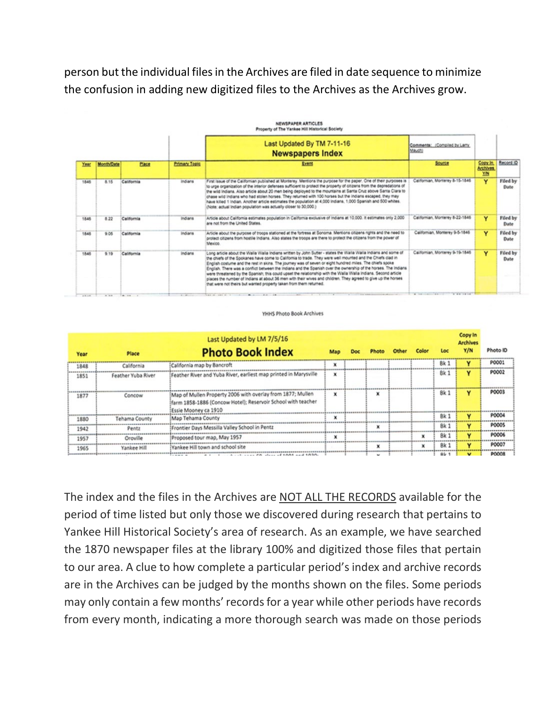person but the individual files in the Archives are filed in date sequence to minimize the confusion in adding new digitized files to the Archives as the Archives grow.

|       |                   |              |               | Last Updated By TM 7-11-16<br><b>Newspapers Index</b>                                                                                                                                                                                                                                                                                                                                                                                                                                                                                                                                                                                                                                                                                                                | Comments: (Compiled by Larry)<br>Mauch)        |                                         |                  |
|-------|-------------------|--------------|---------------|----------------------------------------------------------------------------------------------------------------------------------------------------------------------------------------------------------------------------------------------------------------------------------------------------------------------------------------------------------------------------------------------------------------------------------------------------------------------------------------------------------------------------------------------------------------------------------------------------------------------------------------------------------------------------------------------------------------------------------------------------------------------|------------------------------------------------|-----------------------------------------|------------------|
| Year  | <b>Month/Date</b> | <b>Place</b> | Primary Topic | Event                                                                                                                                                                                                                                                                                                                                                                                                                                                                                                                                                                                                                                                                                                                                                                | Source                                         | <b>Copy In</b><br><b>Archives</b><br>YM | Record ID        |
| 1846  | 8.15              | California   | Indians       | First issue of the Californian published at Monterey. Mentions the purpose for the paper. One of their purposes is<br>to urge organization of the interior defenses sufficient to protect the property of citizens from the depredations of<br>the wild Indians. Also article about 20 men being deployed to the mountains at Santa Cruz above Santa Clara to<br>chase wild indians who had stolen horses. They returned with 100 horses but the indians escaped, they may<br>have killed 1 Indian. Another article estimates the population at 4,000 Indians, 1,000 Spanish and 500 whites.<br>(Note: actual Indian population was actually closer to 30,000.)                                                                                                      | Californian, Monterey 8-15-1846                | v                                       | Filed by<br>Date |
| 1846  | 8.22              | California   | Indians       | Article about California estimates population in California exclusive of Indians at 10,000. It estimates only 2,000<br>are not from the United States.                                                                                                                                                                                                                                                                                                                                                                                                                                                                                                                                                                                                               | Californian, Monterey 8-22-1846                | Y                                       | Filed by<br>Date |
| 1845  | 9.05              | California   | Indians       | Article about the purpose of troops stationed at the fortress at Sonoma. Mentions citizens rights and the need to<br>protect citizens from hostile Indians. Also states the troops are there to protect the citizens from the power of<br>Mexico.                                                                                                                                                                                                                                                                                                                                                                                                                                                                                                                    | Californian, Monterey 9-5-1846                 | Y                                       | Filed by<br>Date |
| 1545  | 9.19              | California   | Indians       | Long article about the Walla Walla Indiana written by John Sutter - states the Walla Walla Indians and some of<br>the chiefs of the Spokanes have come to California to trade. They were well mounted and the Chiefs clad in<br>English costume and the rest in skins. The journey was of seven or eight hundred miles. The chiefs sooke<br>English. There was a conflict between the indians and the Spanish over the ownership of the horses. The Indiana<br>were threatened by the Spanish; this could upset the relationship with the Walla Walla Indians. Second article<br>places the number of indians at about 36 men with their wives and children. They agreed to give up the horses<br>that were not theirs but wanted property taken from them returned. | Californian, Monterey 9-19-1846                | Y                                       | Filed by<br>Date |
| 49.44 | $A = 10$          |              | $2 - 41 -$    | 141 15 191 2 1 2 2 2 3 4 5 4 5 4 5                                                                                                                                                                                                                                                                                                                                                                                                                                                                                                                                                                                                                                                                                                                                   | A car control to the con-<br><b>A 68 18 18</b> |                                         |                  |

YHHS Photo Book Archives

| Year | Place              | Last Updated by LM 7/5/16<br><b>Photo Book Index</b>                                                                                                | Map |                          |             | Loc             | <b>Copy In</b><br><b>Archives</b><br>Y/N | Photo ID     |
|------|--------------------|-----------------------------------------------------------------------------------------------------------------------------------------------------|-----|--------------------------|-------------|-----------------|------------------------------------------|--------------|
| 1848 | California         | California map by Bancroft                                                                                                                          | ×   |                          |             | Bk 1            |                                          | P0001        |
| 1851 | Feather Yuba River | Feather River and Yuba River, earliest map printed in Marysville                                                                                    | ×   |                          |             | <b>Bk1</b>      | v                                        | P0002        |
| 1877 | Concow             | Map of Mullen Property 2006 with overlay from 1877; Mullen<br>[farm 1858-1886 (Concow Hotel); Reservoir School with teacher<br>Essie Mooney ca 1910 | x   | x                        |             | <b>Bk1</b>      | v                                        | P0003        |
| 1880 | Tehama County      | Map Tehama County                                                                                                                                   | ×   |                          |             | Bk 1            | $\overline{\phantom{a}}$                 | <b>P0004</b> |
| 1942 | Pentz              | Frontier Days Messilla Valley School in Pentz                                                                                                       |     |                          |             | Bk:             | v                                        | <b>PO005</b> |
| 1957 | Oroville           | Proposed tour map, May 1957                                                                                                                         |     |                          | $\mathbf x$ | Bk:             | v                                        | <b>PO006</b> |
| 1965 | Yankee Hill        | Yankee Hill town and school site                                                                                                                    |     |                          |             | Bk <sub>1</sub> | v                                        | P0007        |
|      |                    |                                                                                                                                                     |     | $\overline{\phantom{a}}$ |             | B1              |                                          | <b>PÓÓÓS</b> |

The index and the files in the Archives are NOT ALL THE RECORDS available for the period of time listed but only those we discovered during research that pertains to Yankee Hill Historical Society's area of research. As an example, we have searched the 1870 newspaper files at the library 100% and digitized those files that pertain to our area. A clue to how complete a particular period's index and archive records are in the Archives can be judged by the months shown on the files. Some periods may only contain a few months' records for a year while other periods have records from every month, indicating a more thorough search was made on those periods